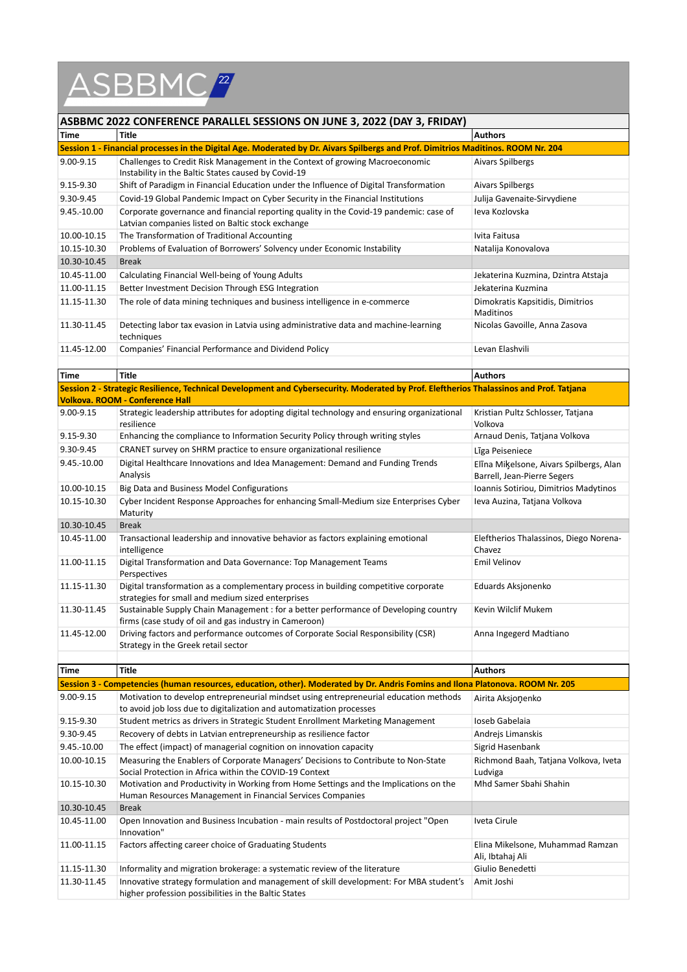

## **ASBBMC 2022 CONFERENCE PARALLEL SESSIONS ON JUNE 3, 2022 (DAY 3, FRIDAY)**

| Time                                                                                                                              | Title                                                                                                                                       | <b>Authors</b>                                       |  |  |
|-----------------------------------------------------------------------------------------------------------------------------------|---------------------------------------------------------------------------------------------------------------------------------------------|------------------------------------------------------|--|--|
| Session 1 - Financial processes in the Digital Age. Moderated by Dr. Aivars Spilbergs and Prof. Dimitrios Maditinos. ROOM Nr. 204 |                                                                                                                                             |                                                      |  |  |
| $9.00 - 9.15$                                                                                                                     | Challenges to Credit Risk Management in the Context of growing Macroeconomic<br>Instability in the Baltic States caused by Covid-19         | Aivars Spilbergs                                     |  |  |
| 9.15-9.30                                                                                                                         | Shift of Paradigm in Financial Education under the Influence of Digital Transformation                                                      | Aivars Spilbergs                                     |  |  |
| 9.30-9.45                                                                                                                         | Covid-19 Global Pandemic Impact on Cyber Security in the Financial Institutions                                                             | Julija Gavenaite-Sirvydiene                          |  |  |
| 9.45.-10.00                                                                                                                       | Corporate governance and financial reporting quality in the Covid-19 pandemic: case of<br>Latvian companies listed on Baltic stock exchange | Jeva Kozlovska                                       |  |  |
| 10.00-10.15                                                                                                                       | The Transformation of Traditional Accounting                                                                                                | Ivita Faitusa                                        |  |  |
| 10.15-10.30                                                                                                                       | Problems of Evaluation of Borrowers' Solvency under Economic Instability                                                                    | Natalija Konovalova                                  |  |  |
| 10.30-10.45                                                                                                                       | <b>Break</b>                                                                                                                                |                                                      |  |  |
| 10.45-11.00                                                                                                                       | Calculating Financial Well-being of Young Adults                                                                                            | Jekaterina Kuzmina, Dzintra Atstaja                  |  |  |
| 11.00-11.15                                                                                                                       | Better Investment Decision Through ESG Integration                                                                                          | Jekaterina Kuzmina                                   |  |  |
| 11.15-11.30                                                                                                                       | The role of data mining techniques and business intelligence in e-commerce                                                                  | Dimokratis Kapsitidis, Dimitrios<br><b>Maditinos</b> |  |  |
| 11.30-11.45                                                                                                                       | Detecting labor tax evasion in Latvia using administrative data and machine-learning<br>techniques                                          | Nicolas Gavoille, Anna Zasova                        |  |  |
| 11.45-12.00                                                                                                                       | Companies' Financial Performance and Dividend Policy                                                                                        | Levan Elashvili                                      |  |  |

| Time        | <b>Title</b>                                                                                                                                                  | <b>Authors</b>                                                         |
|-------------|---------------------------------------------------------------------------------------------------------------------------------------------------------------|------------------------------------------------------------------------|
|             | Session 2 - Strategic Resilience, Technical Development and Cybersecurity. Moderated by Prof. Eleftherios Thalassinos and Prof. Tatjana                       |                                                                        |
|             | <b>Volkova. ROOM - Conference Hall</b>                                                                                                                        |                                                                        |
| 9.00-9.15   | Strategic leadership attributes for adopting digital technology and ensuring organizational<br>resilience                                                     | Kristian Pultz Schlosser, Tatjana<br>Volkova                           |
| 9.15-9.30   | Enhancing the compliance to Information Security Policy through writing styles                                                                                | Arnaud Denis, Tatjana Volkova                                          |
| 9.30-9.45   | CRANET survey on SHRM practice to ensure organizational resilience                                                                                            | Līga Peiseniece                                                        |
| 9.45.-10.00 | Digital Healthcare Innovations and Idea Management: Demand and Funding Trends<br>Analysis                                                                     | Elīna Miķelsone, Aivars Spilbergs, Alan<br>Barrell, Jean-Pierre Segers |
| 10.00-10.15 | Big Data and Business Model Configurations                                                                                                                    | Ioannis Sotiriou, Dimitrios Madytinos                                  |
| 10.15-10.30 | Cyber Incident Response Approaches for enhancing Small-Medium size Enterprises Cyber<br>Maturity                                                              | Ieva Auzina, Tatjana Volkova                                           |
| 10.30-10.45 | <b>Break</b>                                                                                                                                                  |                                                                        |
| 10.45-11.00 | Transactional leadership and innovative behavior as factors explaining emotional<br>intelligence                                                              | Eleftherios Thalassinos, Diego Norena-<br>Chavez                       |
| 11.00-11.15 | Digital Transformation and Data Governance: Top Management Teams<br>Perspectives                                                                              | <b>Emil Velinov</b>                                                    |
| 11.15-11.30 | Digital transformation as a complementary process in building competitive corporate<br>strategies for small and medium sized enterprises                      | Eduards Aksjonenko                                                     |
| 11.30-11.45 | Sustainable Supply Chain Management : for a better performance of Developing country<br>firms (case study of oil and gas industry in Cameroon)                | Kevin Wilclif Mukem                                                    |
| 11.45-12.00 | Driving factors and performance outcomes of Corporate Social Responsibility (CSR)<br>Strategy in the Greek retail sector                                      | Anna Ingegerd Madtiano                                                 |
|             |                                                                                                                                                               |                                                                        |
| Time        | Title                                                                                                                                                         | <b>Authors</b>                                                         |
|             | Session 3 - Competencies (human resources, education, other). Moderated by Dr. Andris Fomins and Ilona Platonova. ROOM Nr. 205                                |                                                                        |
| 9.00-9.15   | Motivation to develop entrepreneurial mindset using entrepreneurial education methods<br>to avoid job loss due to digitalization and automatization processes | Airita Aksjonenko                                                      |
| 9.15-9.30   | Student metrics as drivers in Strategic Student Enrollment Marketing Management                                                                               | Ioseb Gabelaia                                                         |
| 9.30-9.45   | Recovery of debts in Latvian entrepreneurship as resilience factor                                                                                            | Andrejs Limanskis                                                      |
| 9.45.-10.00 | The effect (impact) of managerial cognition on innovation capacity                                                                                            | Sigrid Hasenbank                                                       |
| 10.00-10.15 | Measuring the Enablers of Corporate Managers' Decisions to Contribute to Non-State<br>Social Protection in Africa within the COVID-19 Context                 | Richmond Baah, Tatjana Volkova, Iveta<br>Ludviga                       |
| 10.15-10.30 | Motivation and Productivity in Working from Home Settings and the Implications on the<br>Human Resources Management in Financial Services Companies           | Mhd Samer Sbahi Shahin                                                 |
| 10.30-10.45 | <b>Break</b>                                                                                                                                                  |                                                                        |
| 10.45-11.00 | Open Innovation and Business Incubation - main results of Postdoctoral project "Open<br>Innovation"                                                           | Iveta Cirule                                                           |
| 11.00-11.15 | Factors affecting career choice of Graduating Students                                                                                                        | Elina Mikelsone, Muhammad Ramzan<br>Ali, Ibtahaj Ali                   |
| 11.15-11.30 | Informality and migration brokerage: a systematic review of the literature                                                                                    | Giulio Benedetti                                                       |
| 11.30-11.45 | Innovative strategy formulation and management of skill development: For MBA student's<br>higher profession possibilities in the Baltic States                | Amit Joshi                                                             |